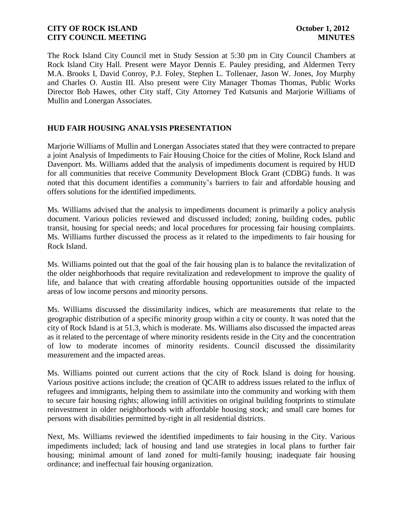The Rock Island City Council met in Study Session at 5:30 pm in City Council Chambers at Rock Island City Hall. Present were Mayor Dennis E. Pauley presiding, and Aldermen Terry M.A. Brooks I, David Conroy, P.J. Foley, Stephen L. Tollenaer, Jason W. Jones, Joy Murphy and Charles O. Austin III. Also present were City Manager Thomas Thomas, Public Works Director Bob Hawes, other City staff, City Attorney Ted Kutsunis and Marjorie Williams of Mullin and Lonergan Associates.

# **HUD FAIR HOUSING ANALYSIS PRESENTATION**

Marjorie Williams of Mullin and Lonergan Associates stated that they were contracted to prepare a joint Analysis of Impediments to Fair Housing Choice for the cities of Moline, Rock Island and Davenport. Ms. Williams added that the analysis of impediments document is required by HUD for all communities that receive Community Development Block Grant (CDBG) funds. It was noted that this document identifies a community's barriers to fair and affordable housing and offers solutions for the identified impediments.

Ms. Williams advised that the analysis to impediments document is primarily a policy analysis document. Various policies reviewed and discussed included; zoning, building codes, public transit, housing for special needs; and local procedures for processing fair housing complaints. Ms. Williams further discussed the process as it related to the impediments to fair housing for Rock Island.

Ms. Williams pointed out that the goal of the fair housing plan is to balance the revitalization of the older neighborhoods that require revitalization and redevelopment to improve the quality of life, and balance that with creating affordable housing opportunities outside of the impacted areas of low income persons and minority persons.

Ms. Williams discussed the dissimilarity indices, which are measurements that relate to the geographic distribution of a specific minority group within a city or county. It was noted that the city of Rock Island is at 51.3, which is moderate. Ms. Williams also discussed the impacted areas as it related to the percentage of where minority residents reside in the City and the concentration of low to moderate incomes of minority residents. Council discussed the dissimilarity measurement and the impacted areas.

Ms. Williams pointed out current actions that the city of Rock Island is doing for housing. Various positive actions include; the creation of QCAIR to address issues related to the influx of refugees and immigrants, helping them to assimilate into the community and working with them to secure fair housing rights; allowing infill activities on original building footprints to stimulate reinvestment in older neighborhoods with affordable housing stock; and small care homes for persons with disabilities permitted by-right in all residential districts.

Next, Ms. Williams reviewed the identified impediments to fair housing in the City. Various impediments included; lack of housing and land use strategies in local plans to further fair housing; minimal amount of land zoned for multi-family housing; inadequate fair housing ordinance; and ineffectual fair housing organization.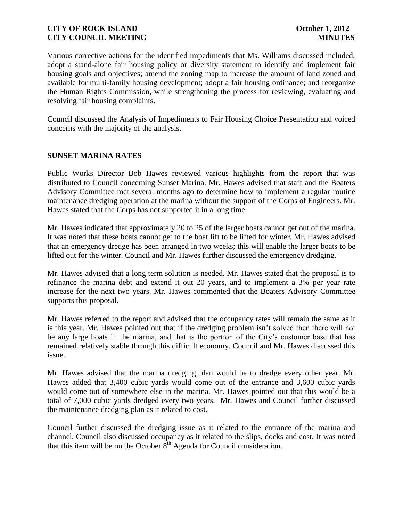Various corrective actions for the identified impediments that Ms. Williams discussed included; adopt a stand-alone fair housing policy or diversity statement to identify and implement fair housing goals and objectives; amend the zoning map to increase the amount of land zoned and available for multi-family housing development; adopt a fair housing ordinance; and reorganize the Human Rights Commission, while strengthening the process for reviewing, evaluating and resolving fair housing complaints.

Council discussed the Analysis of Impediments to Fair Housing Choice Presentation and voiced concerns with the majority of the analysis.

## **SUNSET MARINA RATES**

Public Works Director Bob Hawes reviewed various highlights from the report that was distributed to Council concerning Sunset Marina. Mr. Hawes advised that staff and the Boaters Advisory Committee met several months ago to determine how to implement a regular routine maintenance dredging operation at the marina without the support of the Corps of Engineers. Mr. Hawes stated that the Corps has not supported it in a long time.

Mr. Hawes indicated that approximately 20 to 25 of the larger boats cannot get out of the marina. It was noted that these boats cannot get to the boat lift to be lifted for winter. Mr. Hawes advised that an emergency dredge has been arranged in two weeks; this will enable the larger boats to be lifted out for the winter. Council and Mr. Hawes further discussed the emergency dredging.

Mr. Hawes advised that a long term solution is needed. Mr. Hawes stated that the proposal is to refinance the marina debt and extend it out 20 years, and to implement a 3% per year rate increase for the next two years. Mr. Hawes commented that the Boaters Advisory Committee supports this proposal.

Mr. Hawes referred to the report and advised that the occupancy rates will remain the same as it is this year. Mr. Hawes pointed out that if the dredging problem isn't solved then there will not be any large boats in the marina, and that is the portion of the City's customer base that has remained relatively stable through this difficult economy. Council and Mr. Hawes discussed this issue.

Mr. Hawes advised that the marina dredging plan would be to dredge every other year. Mr. Hawes added that 3,400 cubic yards would come out of the entrance and 3,600 cubic yards would come out of somewhere else in the marina. Mr. Hawes pointed out that this would be a total of 7,000 cubic yards dredged every two years. Mr. Hawes and Council further discussed the maintenance dredging plan as it related to cost.

Council further discussed the dredging issue as it related to the entrance of the marina and channel. Council also discussed occupancy as it related to the slips, docks and cost. It was noted that this item will be on the October  $8<sup>th</sup>$  Agenda for Council consideration.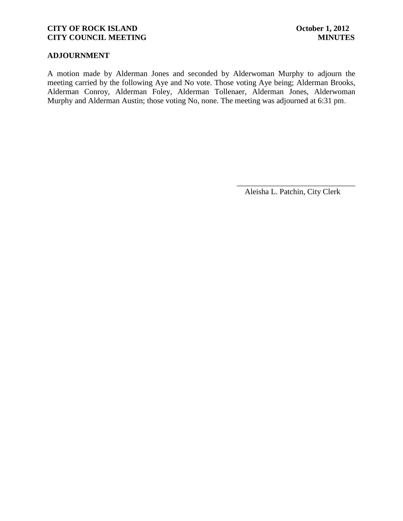# **ADJOURNMENT**

A motion made by Alderman Jones and seconded by Alderwoman Murphy to adjourn the meeting carried by the following Aye and No vote. Those voting Aye being; Alderman Brooks, Alderman Conroy, Alderman Foley, Alderman Tollenaer, Alderman Jones, Alderwoman Murphy and Alderman Austin; those voting No, none. The meeting was adjourned at 6:31 pm.

> \_\_\_\_\_\_\_\_\_\_\_\_\_\_\_\_\_\_\_\_\_\_\_\_\_\_\_\_\_\_ Aleisha L. Patchin, City Clerk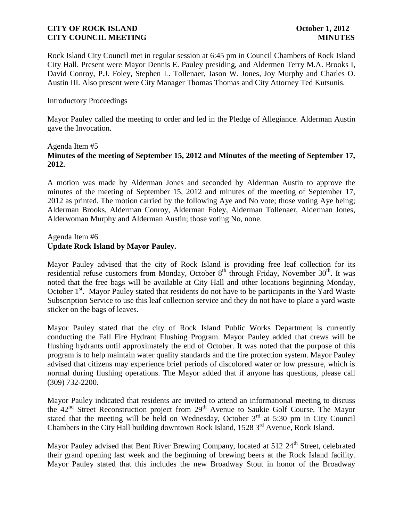Rock Island City Council met in regular session at 6:45 pm in Council Chambers of Rock Island City Hall. Present were Mayor Dennis E. Pauley presiding, and Aldermen Terry M.A. Brooks I, David Conroy, P.J. Foley, Stephen L. Tollenaer, Jason W. Jones, Joy Murphy and Charles O. Austin III. Also present were City Manager Thomas Thomas and City Attorney Ted Kutsunis.

## Introductory Proceedings

Mayor Pauley called the meeting to order and led in the Pledge of Allegiance. Alderman Austin gave the Invocation.

## Agenda Item #5 **Minutes of the meeting of September 15, 2012 and Minutes of the meeting of September 17, 2012.**

A motion was made by Alderman Jones and seconded by Alderman Austin to approve the minutes of the meeting of September 15, 2012 and minutes of the meeting of September 17, 2012 as printed. The motion carried by the following Aye and No vote; those voting Aye being; Alderman Brooks, Alderman Conroy, Alderman Foley, Alderman Tollenaer, Alderman Jones, Alderwoman Murphy and Alderman Austin; those voting No, none.

## Agenda Item #6 **Update Rock Island by Mayor Pauley.**

Mayor Pauley advised that the city of Rock Island is providing free leaf collection for its residential refuse customers from Monday, October  $8<sup>th</sup>$  through Friday, November 30<sup>th</sup>. It was noted that the free bags will be available at City Hall and other locations beginning Monday, October 1<sup>st</sup>. Mayor Pauley stated that residents do not have to be participants in the Yard Waste Subscription Service to use this leaf collection service and they do not have to place a yard waste sticker on the bags of leaves.

Mayor Pauley stated that the city of Rock Island Public Works Department is currently conducting the Fall Fire Hydrant Flushing Program. Mayor Pauley added that crews will be flushing hydrants until approximately the end of October. It was noted that the purpose of this program is to help maintain water quality standards and the fire protection system. Mayor Pauley advised that citizens may experience brief periods of discolored water or low pressure, which is normal during flushing operations. The Mayor added that if anyone has questions, please call (309) 732-2200.

Mayor Pauley indicated that residents are invited to attend an informational meeting to discuss the 42<sup>nd</sup> Street Reconstruction project from 29<sup>th</sup> Avenue to Saukie Golf Course. The Mayor stated that the meeting will be held on Wednesday, October 3<sup>rd</sup> at 5:30 pm in City Council Chambers in the City Hall building downtown Rock Island, 1528 3<sup>rd</sup> Avenue, Rock Island.

Mayor Pauley advised that Bent River Brewing Company, located at  $512.24<sup>th</sup>$  Street, celebrated their grand opening last week and the beginning of brewing beers at the Rock Island facility. Mayor Pauley stated that this includes the new Broadway Stout in honor of the Broadway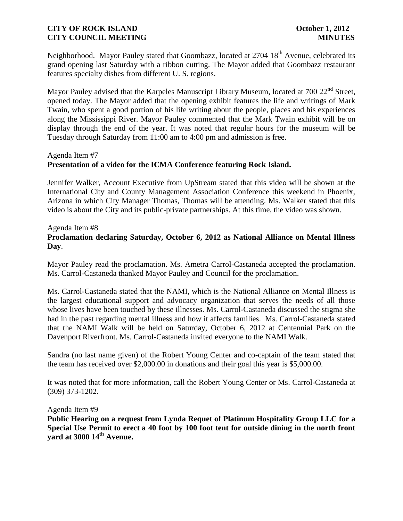Neighborhood. Mayor Pauley stated that Goombazz, located at 2704 18<sup>th</sup> Avenue, celebrated its grand opening last Saturday with a ribbon cutting. The Mayor added that Goombazz restaurant features specialty dishes from different U. S. regions.

Mayor Pauley advised that the Karpeles Manuscript Library Museum, located at 700 22<sup>nd</sup> Street, opened today. The Mayor added that the opening exhibit features the life and writings of Mark Twain, who spent a good portion of his life writing about the people, places and his experiences along the Mississippi River. Mayor Pauley commented that the Mark Twain exhibit will be on display through the end of the year. It was noted that regular hours for the museum will be Tuesday through Saturday from 11:00 am to 4:00 pm and admission is free.

## Agenda Item #7

## **Presentation of a video for the ICMA Conference featuring Rock Island.**

Jennifer Walker, Account Executive from UpStream stated that this video will be shown at the International City and County Management Association Conference this weekend in Phoenix, Arizona in which City Manager Thomas, Thomas will be attending. Ms. Walker stated that this video is about the City and its public-private partnerships. At this time, the video was shown.

## Agenda Item #8 **Proclamation declaring Saturday, October 6, 2012 as National Alliance on Mental Illness Day**.

Mayor Pauley read the proclamation. Ms. Ametra Carrol-Castaneda accepted the proclamation. Ms. Carrol-Castaneda thanked Mayor Pauley and Council for the proclamation.

Ms. Carrol-Castaneda stated that the NAMI, which is the National Alliance on Mental Illness is the largest educational support and advocacy organization that serves the needs of all those whose lives have been touched by these illnesses. Ms. Carrol-Castaneda discussed the stigma she had in the past regarding mental illness and how it affects families. Ms. Carrol-Castaneda stated that the NAMI Walk will be held on Saturday, October 6, 2012 at Centennial Park on the Davenport Riverfront. Ms. Carrol-Castaneda invited everyone to the NAMI Walk.

Sandra (no last name given) of the Robert Young Center and co-captain of the team stated that the team has received over \$2,000.00 in donations and their goal this year is \$5,000.00.

It was noted that for more information, call the Robert Young Center or Ms. Carrol-Castaneda at (309) 373-1202.

Agenda Item #9

**Public Hearing on a request from Lynda Requet of Platinum Hospitality Group LLC for a Special Use Permit to erect a 40 foot by 100 foot tent for outside dining in the north front yard at 3000 14th Avenue.**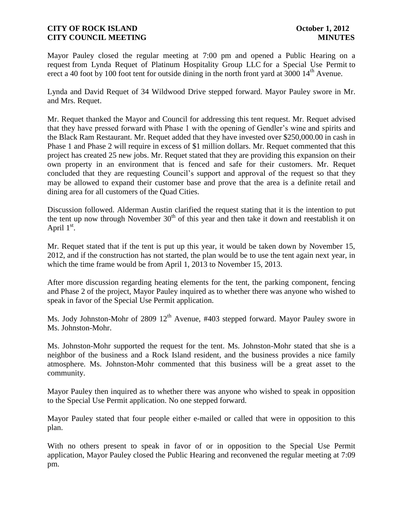Mayor Pauley closed the regular meeting at 7:00 pm and opened a Public Hearing on a request from Lynda Requet of Platinum Hospitality Group LLC for a Special Use Permit to erect a 40 foot by 100 foot tent for outside dining in the north front yard at 3000  $14<sup>th</sup>$  Avenue.

Lynda and David Requet of 34 Wildwood Drive stepped forward. Mayor Pauley swore in Mr. and Mrs. Requet.

Mr. Requet thanked the Mayor and Council for addressing this tent request. Mr. Requet advised that they have pressed forward with Phase 1 with the opening of Gendler's wine and spirits and the Black Ram Restaurant. Mr. Requet added that they have invested over \$250,000.00 in cash in Phase 1 and Phase 2 will require in excess of \$1 million dollars. Mr. Requet commented that this project has created 25 new jobs. Mr. Requet stated that they are providing this expansion on their own property in an environment that is fenced and safe for their customers. Mr. Requet concluded that they are requesting Council's support and approval of the request so that they may be allowed to expand their customer base and prove that the area is a definite retail and dining area for all customers of the Quad Cities.

Discussion followed. Alderman Austin clarified the request stating that it is the intention to put the tent up now through November  $30<sup>th</sup>$  of this year and then take it down and reestablish it on April  $1<sup>st</sup>$ .

Mr. Requet stated that if the tent is put up this year, it would be taken down by November 15, 2012, and if the construction has not started, the plan would be to use the tent again next year, in which the time frame would be from April 1, 2013 to November 15, 2013.

After more discussion regarding heating elements for the tent, the parking component, fencing and Phase 2 of the project, Mayor Pauley inquired as to whether there was anyone who wished to speak in favor of the Special Use Permit application.

Ms. Jody Johnston-Mohr of 2809  $12<sup>th</sup>$  Avenue, #403 stepped forward. Mayor Pauley swore in Ms. Johnston-Mohr.

Ms. Johnston-Mohr supported the request for the tent. Ms. Johnston-Mohr stated that she is a neighbor of the business and a Rock Island resident, and the business provides a nice family atmosphere. Ms. Johnston-Mohr commented that this business will be a great asset to the community.

Mayor Pauley then inquired as to whether there was anyone who wished to speak in opposition to the Special Use Permit application. No one stepped forward.

Mayor Pauley stated that four people either e-mailed or called that were in opposition to this plan.

With no others present to speak in favor of or in opposition to the Special Use Permit application, Mayor Pauley closed the Public Hearing and reconvened the regular meeting at 7:09 pm.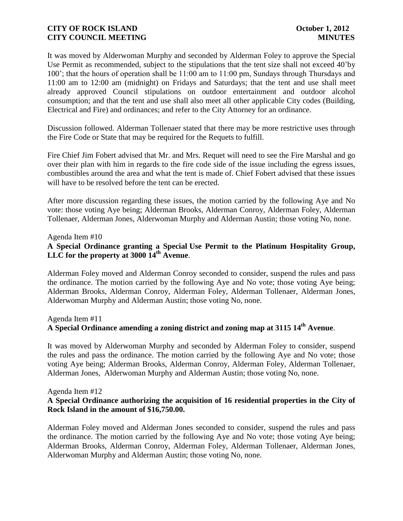It was moved by Alderwoman Murphy and seconded by Alderman Foley to approve the Special Use Permit as recommended, subject to the stipulations that the tent size shall not exceed 40'by 100'; that the hours of operation shall be 11:00 am to 11:00 pm, Sundays through Thursdays and 11:00 am to 12:00 am (midnight) on Fridays and Saturdays; that the tent and use shall meet already approved Council stipulations on outdoor entertainment and outdoor alcohol consumption; and that the tent and use shall also meet all other applicable City codes (Building, Electrical and Fire) and ordinances; and refer to the City Attorney for an ordinance.

Discussion followed. Alderman Tollenaer stated that there may be more restrictive uses through the Fire Code or State that may be required for the Requets to fulfill.

Fire Chief Jim Fobert advised that Mr. and Mrs. Requet will need to see the Fire Marshal and go over their plan with him in regards to the fire code side of the issue including the egress issues, combustibles around the area and what the tent is made of. Chief Fobert advised that these issues will have to be resolved before the tent can be erected.

After more discussion regarding these issues, the motion carried by the following Aye and No vote: those voting Aye being; Alderman Brooks, Alderman Conroy, Alderman Foley, Alderman Tollenaer, Alderman Jones, Alderwoman Murphy and Alderman Austin; those voting No, none.

## Agenda Item #10

## **A Special Ordinance granting a Special Use Permit to the Platinum Hospitality Group, LLC for the property at 3000 14th Avenue**.

Alderman Foley moved and Alderman Conroy seconded to consider, suspend the rules and pass the ordinance. The motion carried by the following Aye and No vote; those voting Aye being; Alderman Brooks, Alderman Conroy, Alderman Foley, Alderman Tollenaer, Alderman Jones, Alderwoman Murphy and Alderman Austin; those voting No, none.

#### Agenda Item #11

# **A Special Ordinance amending a zoning district and zoning map at 3115 14th Avenue**.

It was moved by Alderwoman Murphy and seconded by Alderman Foley to consider, suspend the rules and pass the ordinance. The motion carried by the following Aye and No vote; those voting Aye being; Alderman Brooks, Alderman Conroy, Alderman Foley, Alderman Tollenaer, Alderman Jones, Alderwoman Murphy and Alderman Austin; those voting No, none.

#### Agenda Item #12

## **A Special Ordinance authorizing the acquisition of 16 residential properties in the City of Rock Island in the amount of \$16,750.00.**

Alderman Foley moved and Alderman Jones seconded to consider, suspend the rules and pass the ordinance. The motion carried by the following Aye and No vote; those voting Aye being; Alderman Brooks, Alderman Conroy, Alderman Foley, Alderman Tollenaer, Alderman Jones, Alderwoman Murphy and Alderman Austin; those voting No, none.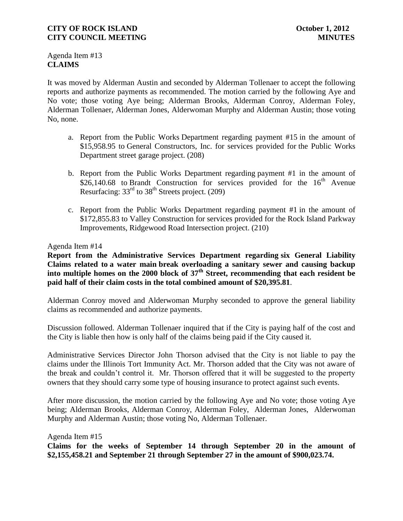Agenda Item #13 **CLAIMS**

It was moved by Alderman Austin and seconded by Alderman Tollenaer to accept the following reports and authorize payments as recommended. The motion carried by the following Aye and No vote; those voting Aye being; Alderman Brooks, Alderman Conroy, Alderman Foley, Alderman Tollenaer, Alderman Jones, Alderwoman Murphy and Alderman Austin; those voting No, none.

- a. Report from the Public Works Department regarding payment #15 in the amount of \$15,958.95 to General Constructors, Inc. for services provided for the Public Works Department street garage project. (208)
- b. Report from the Public Works Department regarding payment #1 in the amount of  $$26,140.68$  to Brandt Construction for services provided for the  $16<sup>th</sup>$  Avenue Resurfacing: 33rd to 38th Streets project. (209)
- c. Report from the Public Works Department regarding payment #1 in the amount of \$172,855.83 to Valley Construction for services provided for the Rock Island Parkway Improvements, Ridgewood Road Intersection project. (210)

## Agenda Item #14

**Report from the Administrative Services Department regarding six General Liability Claims related to a water main break overloading a sanitary sewer and causing backup into multiple homes on the 2000 block of 37th Street, recommending that each resident be paid half of their claim costs in the total combined amount of \$20,395.81**.

Alderman Conroy moved and Alderwoman Murphy seconded to approve the general liability claims as recommended and authorize payments.

Discussion followed. Alderman Tollenaer inquired that if the City is paying half of the cost and the City is liable then how is only half of the claims being paid if the City caused it.

Administrative Services Director John Thorson advised that the City is not liable to pay the claims under the Illinois Tort Immunity Act. Mr. Thorson added that the City was not aware of the break and couldn't control it. Mr. Thorson offered that it will be suggested to the property owners that they should carry some type of housing insurance to protect against such events.

After more discussion, the motion carried by the following Aye and No vote; those voting Aye being; Alderman Brooks, Alderman Conroy, Alderman Foley, Alderman Jones, Alderwoman Murphy and Alderman Austin; those voting No, Alderman Tollenaer.

Agenda Item #15 **Claims for the weeks of September 14 through September 20 in the amount of \$2,155,458.21 and September 21 through September 27 in the amount of \$900,023.74.**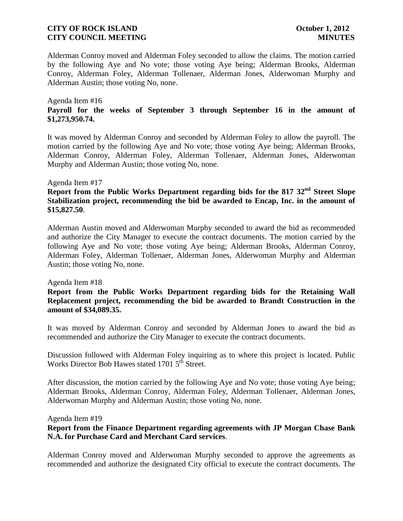Alderman Conroy moved and Alderman Foley seconded to allow the claims. The motion carried by the following Aye and No vote; those voting Aye being; Alderman Brooks, Alderman Conroy, Alderman Foley, Alderman Tollenaer, Alderman Jones, Alderwoman Murphy and Alderman Austin; those voting No, none.

## Agenda Item #16 **Payroll for the weeks of September 3 through September 16 in the amount of \$1,273,950.74.**

It was moved by Alderman Conroy and seconded by Alderman Foley to allow the payroll. The motion carried by the following Aye and No vote; those voting Aye being; Alderman Brooks, Alderman Conroy, Alderman Foley, Alderman Tollenaer, Alderman Jones, Alderwoman Murphy and Alderman Austin; those voting No, none.

## Agenda Item #17

# **Report from the Public Works Department regarding bids for the 817 32nd Street Slope Stabilization project, recommending the bid be awarded to Encap, Inc. in the amount of \$15,827.50**.

Alderman Austin moved and Alderwoman Murphy seconded to award the bid as recommended and authorize the City Manager to execute the contract documents. The motion carried by the following Aye and No vote; those voting Aye being; Alderman Brooks, Alderman Conroy, Alderman Foley, Alderman Tollenaer, Alderman Jones, Alderwoman Murphy and Alderman Austin; those voting No, none.

## Agenda Item #18

## **Report from the Public Works Department regarding bids for the Retaining Wall Replacement project, recommending the bid be awarded to Brandt Construction in the amount of \$34,089.35.**

It was moved by Alderman Conroy and seconded by Alderman Jones to award the bid as recommended and authorize the City Manager to execute the contract documents.

Discussion followed with Alderman Foley inquiring as to where this project is located. Public Works Director Bob Hawes stated 1701 5<sup>th</sup> Street.

After discussion, the motion carried by the following Aye and No vote; those voting Aye being; Alderman Brooks, Alderman Conroy, Alderman Foley, Alderman Tollenaer, Alderman Jones, Alderwoman Murphy and Alderman Austin; those voting No, none.

#### Agenda Item #19

## **Report from the Finance Department regarding agreements with JP Morgan Chase Bank N.A. for Purchase Card and Merchant Card services**.

Alderman Conroy moved and Alderwoman Murphy seconded to approve the agreements as recommended and authorize the designated City official to execute the contract documents. The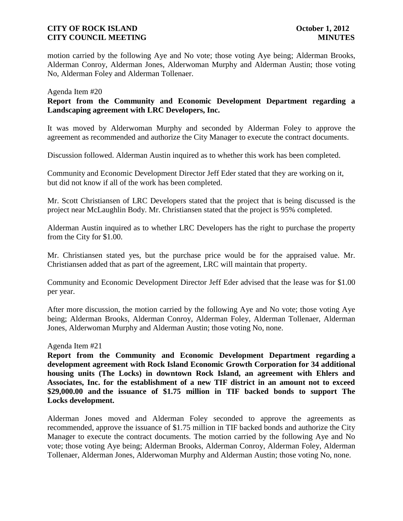motion carried by the following Aye and No vote; those voting Aye being; Alderman Brooks, Alderman Conroy, Alderman Jones, Alderwoman Murphy and Alderman Austin; those voting No, Alderman Foley and Alderman Tollenaer.

## Agenda Item #20

## **Report from the Community and Economic Development Department regarding a Landscaping agreement with LRC Developers, Inc.**

It was moved by Alderwoman Murphy and seconded by Alderman Foley to approve the agreement as recommended and authorize the City Manager to execute the contract documents.

Discussion followed. Alderman Austin inquired as to whether this work has been completed.

Community and Economic Development Director Jeff Eder stated that they are working on it, but did not know if all of the work has been completed.

Mr. Scott Christiansen of LRC Developers stated that the project that is being discussed is the project near McLaughlin Body. Mr. Christiansen stated that the project is 95% completed.

Alderman Austin inquired as to whether LRC Developers has the right to purchase the property from the City for \$1.00.

Mr. Christiansen stated yes, but the purchase price would be for the appraised value. Mr. Christiansen added that as part of the agreement, LRC will maintain that property.

Community and Economic Development Director Jeff Eder advised that the lease was for \$1.00 per year.

After more discussion, the motion carried by the following Aye and No vote; those voting Aye being; Alderman Brooks, Alderman Conroy, Alderman Foley, Alderman Tollenaer, Alderman Jones, Alderwoman Murphy and Alderman Austin; those voting No, none.

#### Agenda Item #21

**Report from the Community and Economic Development Department regarding a development agreement with Rock Island Economic Growth Corporation for 34 additional housing units (The Locks) in downtown Rock Island, an agreement with Ehlers and Associates, Inc. for the establishment of a new TIF district in an amount not to exceed \$29,000.00 and the issuance of \$1.75 million in TIF backed bonds to support The Locks development.**

Alderman Jones moved and Alderman Foley seconded to approve the agreements as recommended, approve the issuance of \$1.75 million in TIF backed bonds and authorize the City Manager to execute the contract documents. The motion carried by the following Aye and No vote; those voting Aye being; Alderman Brooks, Alderman Conroy, Alderman Foley, Alderman Tollenaer, Alderman Jones, Alderwoman Murphy and Alderman Austin; those voting No, none.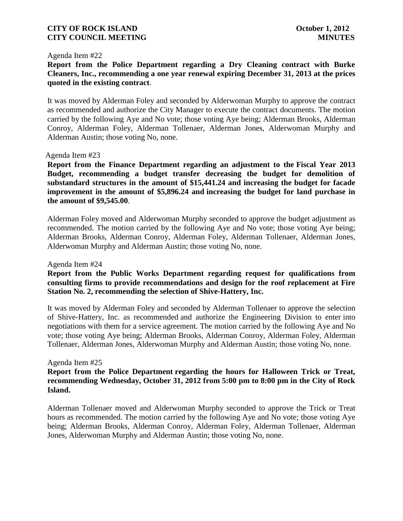#### Agenda Item #22

**Report from the Police Department regarding a Dry Cleaning contract with Burke Cleaners, Inc., recommending a one year renewal expiring December 31, 2013 at the prices quoted in the existing contract**.

It was moved by Alderman Foley and seconded by Alderwoman Murphy to approve the contract as recommended and authorize the City Manager to execute the contract documents. The motion carried by the following Aye and No vote; those voting Aye being; Alderman Brooks, Alderman Conroy, Alderman Foley, Alderman Tollenaer, Alderman Jones, Alderwoman Murphy and Alderman Austin; those voting No, none.

## Agenda Item #23

**Report from the Finance Department regarding an adjustment to the Fiscal Year 2013 Budget, recommending a budget transfer decreasing the budget for demolition of substandard structures in the amount of \$15,441.24 and increasing the budget for facade improvement in the amount of \$5,896.24 and increasing the budget for land purchase in the amount of \$9,545.00**.

Alderman Foley moved and Alderwoman Murphy seconded to approve the budget adjustment as recommended. The motion carried by the following Aye and No vote; those voting Aye being; Alderman Brooks, Alderman Conroy, Alderman Foley, Alderman Tollenaer, Alderman Jones, Alderwoman Murphy and Alderman Austin; those voting No, none.

Agenda Item #24

## **Report from the Public Works Department regarding request for qualifications from consulting firms to provide recommendations and design for the roof replacement at Fire Station No. 2, recommending the selection of Shive-Hattery, Inc.**

It was moved by Alderman Foley and seconded by Alderman Tollenaer to approve the selection of Shive-Hattery, Inc. as recommended and authorize the Engineering Division to enter into negotiations with them for a service agreement. The motion carried by the following Aye and No vote; those voting Aye being; Alderman Brooks, Alderman Conroy, Alderman Foley, Alderman Tollenaer, Alderman Jones, Alderwoman Murphy and Alderman Austin; those voting No, none.

#### Agenda Item #25

## **Report from the Police Department regarding the hours for Halloween Trick or Treat, recommending Wednesday, October 31, 2012 from 5:00 pm to 8:00 pm in the City of Rock Island.**

Alderman Tollenaer moved and Alderwoman Murphy seconded to approve the Trick or Treat hours as recommended. The motion carried by the following Aye and No vote; those voting Aye being; Alderman Brooks, Alderman Conroy, Alderman Foley, Alderman Tollenaer, Alderman Jones, Alderwoman Murphy and Alderman Austin; those voting No, none.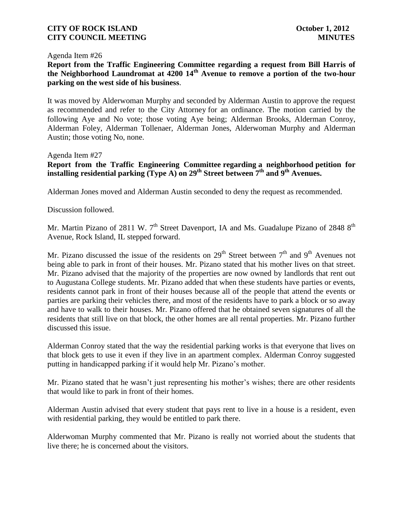## Agenda Item #26

**Report from the Traffic Engineering Committee regarding a request from Bill Harris of the Neighborhood Laundromat at 4200 14th Avenue to remove a portion of the two-hour parking on the west side of his business**.

It was moved by Alderwoman Murphy and seconded by Alderman Austin to approve the request as recommended and refer to the City Attorney for an ordinance. The motion carried by the following Aye and No vote; those voting Aye being; Alderman Brooks, Alderman Conroy, Alderman Foley, Alderman Tollenaer, Alderman Jones, Alderwoman Murphy and Alderman Austin; those voting No, none.

## Agenda Item #27

**Report from the Traffic Engineering Committee regarding a neighborhood petition for installing residential parking (Type A) on 29th Street between 7th and 9th Avenues.**

Alderman Jones moved and Alderman Austin seconded to deny the request as recommended.

Discussion followed.

Mr. Martin Pizano of 2811 W.  $7<sup>th</sup>$  Street Davenport, IA and Ms. Guadalupe Pizano of 2848 8<sup>th</sup> Avenue, Rock Island, IL stepped forward.

Mr. Pizano discussed the issue of the residents on  $29<sup>th</sup>$  Street between  $7<sup>th</sup>$  and  $9<sup>th</sup>$  Avenues not being able to park in front of their houses. Mr. Pizano stated that his mother lives on that street. Mr. Pizano advised that the majority of the properties are now owned by landlords that rent out to Augustana College students. Mr. Pizano added that when these students have parties or events, residents cannot park in front of their houses because all of the people that attend the events or parties are parking their vehicles there, and most of the residents have to park a block or so away and have to walk to their houses. Mr. Pizano offered that he obtained seven signatures of all the residents that still live on that block, the other homes are all rental properties. Mr. Pizano further discussed this issue.

Alderman Conroy stated that the way the residential parking works is that everyone that lives on that block gets to use it even if they live in an apartment complex. Alderman Conroy suggested putting in handicapped parking if it would help Mr. Pizano's mother.

Mr. Pizano stated that he wasn't just representing his mother's wishes; there are other residents that would like to park in front of their homes.

Alderman Austin advised that every student that pays rent to live in a house is a resident, even with residential parking, they would be entitled to park there.

Alderwoman Murphy commented that Mr. Pizano is really not worried about the students that live there; he is concerned about the visitors.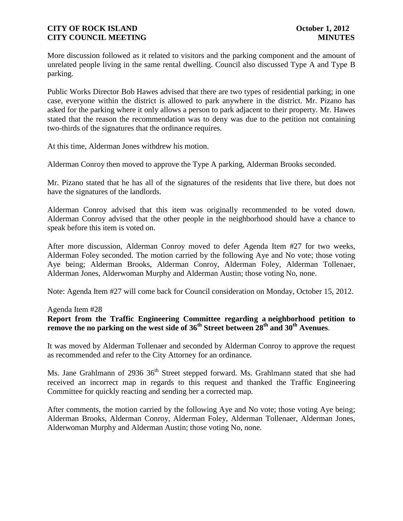More discussion followed as it related to visitors and the parking component and the amount of unrelated people living in the same rental dwelling. Council also discussed Type A and Type B parking.

Public Works Director Bob Hawes advised that there are two types of residential parking; in one case, everyone within the district is allowed to park anywhere in the district. Mr. Pizano has asked for the parking where it only allows a person to park adjacent to their property. Mr. Hawes stated that the reason the recommendation was to deny was due to the petition not containing two-thirds of the signatures that the ordinance requires.

At this time, Alderman Jones withdrew his motion.

Alderman Conroy then moved to approve the Type A parking, Alderman Brooks seconded.

Mr. Pizano stated that he has all of the signatures of the residents that live there, but does not have the signatures of the landlords.

Alderman Conroy advised that this item was originally recommended to be voted down. Alderman Conroy advised that the other people in the neighborhood should have a chance to speak before this item is voted on.

After more discussion, Alderman Conroy moved to defer Agenda Item #27 for two weeks, Alderman Foley seconded. The motion carried by the following Aye and No vote; those voting Aye being; Alderman Brooks, Alderman Conroy, Alderman Foley, Alderman Tollenaer, Alderman Jones, Alderwoman Murphy and Alderman Austin; those voting No, none.

Note: Agenda Item #27 will come back for Council consideration on Monday, October 15, 2012.

Agenda Item #28

## **Report from the Traffic Engineering Committee regarding a neighborhood petition to remove the no parking on the west side of 36th Street between 28th and 30th Avenues**.

It was moved by Alderman Tollenaer and seconded by Alderman Conroy to approve the request as recommended and refer to the City Attorney for an ordinance.

Ms. Jane Grahlmann of 2936 36<sup>th</sup> Street stepped forward. Ms. Grahlmann stated that she had received an incorrect map in regards to this request and thanked the Traffic Engineering Committee for quickly reacting and sending her a corrected map.

After comments, the motion carried by the following Aye and No vote; those voting Aye being; Alderman Brooks, Alderman Conroy, Alderman Foley, Alderman Tollenaer, Alderman Jones, Alderwoman Murphy and Alderman Austin; those voting No, none.